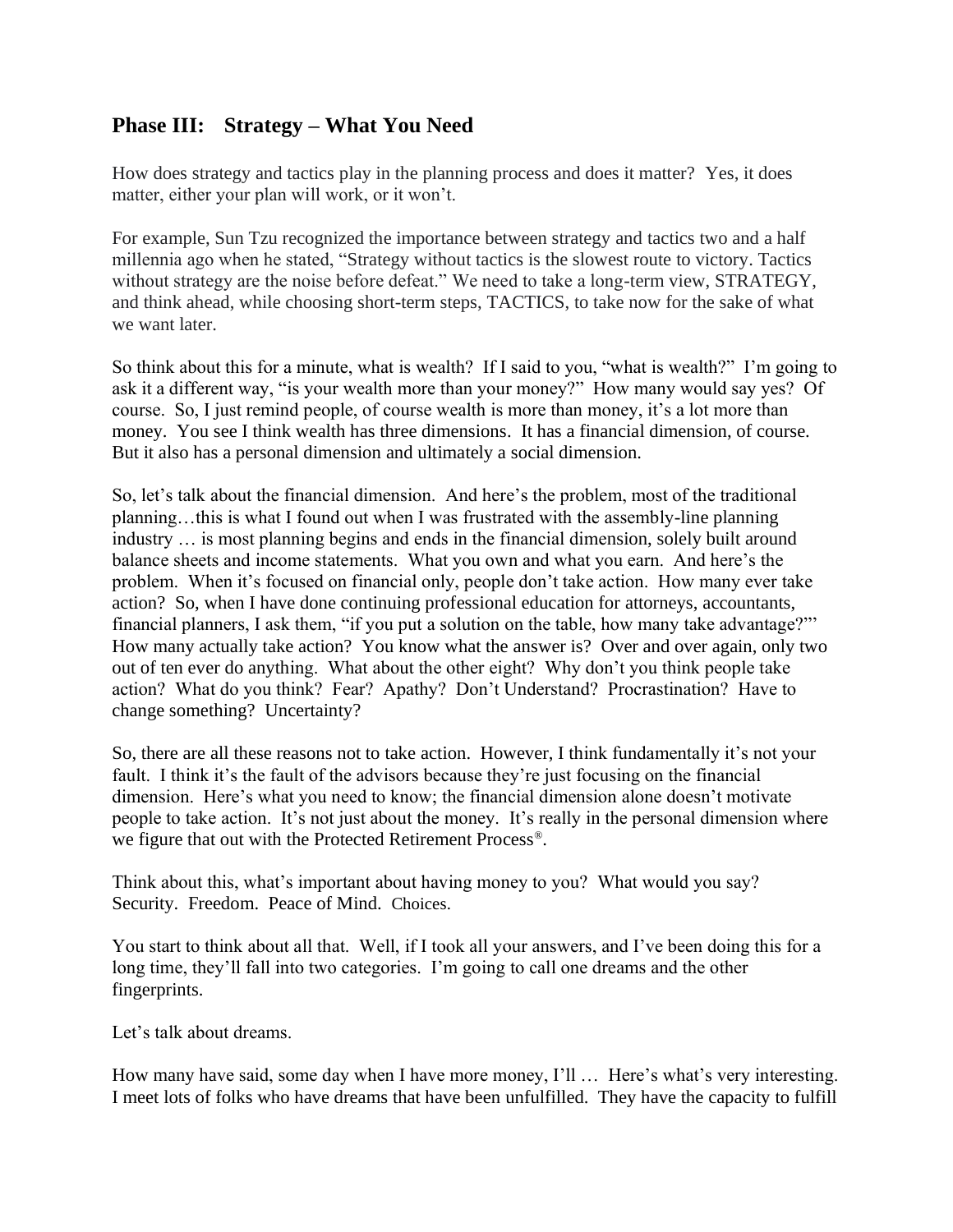## **Phase III: Strategy – What You Need**

How does strategy and tactics play in the planning process and does it matter? Yes, it does matter, either your plan will work, or it won't.

For example, Sun Tzu recognized the importance between strategy and tactics two and a half millennia ago when he stated, "Strategy without tactics is the slowest route to victory. Tactics without strategy are the noise before defeat." We need to take a long-term view, STRATEGY, and think ahead, while choosing short-term steps, TACTICS, to take now for the sake of what we want later.

So think about this for a minute, what is wealth? If I said to you, "what is wealth?" I'm going to ask it a different way, "is your wealth more than your money?" How many would say yes? Of course. So, I just remind people, of course wealth is more than money, it's a lot more than money. You see I think wealth has three dimensions. It has a financial dimension, of course. But it also has a personal dimension and ultimately a social dimension.

So, let's talk about the financial dimension. And here's the problem, most of the traditional planning…this is what I found out when I was frustrated with the assembly-line planning industry … is most planning begins and ends in the financial dimension, solely built around balance sheets and income statements. What you own and what you earn. And here's the problem. When it's focused on financial only, people don't take action. How many ever take action? So, when I have done continuing professional education for attorneys, accountants, financial planners, I ask them, "if you put a solution on the table, how many take advantage?"' How many actually take action? You know what the answer is? Over and over again, only two out of ten ever do anything. What about the other eight? Why don't you think people take action? What do you think? Fear? Apathy? Don't Understand? Procrastination? Have to change something? Uncertainty?

So, there are all these reasons not to take action. However, I think fundamentally it's not your fault. I think it's the fault of the advisors because they're just focusing on the financial dimension. Here's what you need to know; the financial dimension alone doesn't motivate people to take action. It's not just about the money. It's really in the personal dimension where we figure that out with the Protected Retirement Process® .

Think about this, what's important about having money to you? What would you say? Security. Freedom. Peace of Mind. Choices.

You start to think about all that. Well, if I took all your answers, and I've been doing this for a long time, they'll fall into two categories. I'm going to call one dreams and the other fingerprints.

Let's talk about dreams.

How many have said, some day when I have more money, I'll ... Here's what's very interesting. I meet lots of folks who have dreams that have been unfulfilled. They have the capacity to fulfill